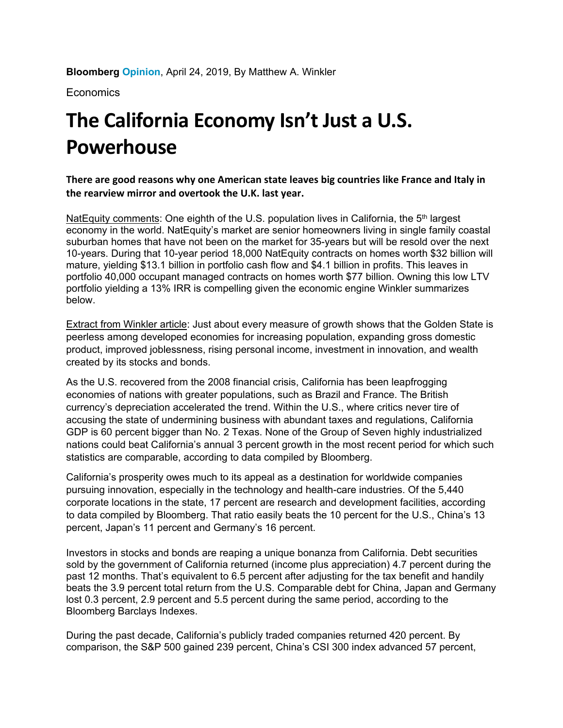**Bloomberg Opinion**, April 24, 2019, By Matthew A. Winkler

**Economics** 

## **The California Economy Isn't Just a U.S. Powerhouse**

**There are good reasons why one American state leaves big countries like France and Italy in the rearview mirror and overtook the U.K. last year.** 

NatEquity comments: One eighth of the U.S. population lives in California, the  $5<sup>th</sup>$  largest economy in the world. NatEquity's market are senior homeowners living in single family coastal suburban homes that have not been on the market for 35-years but will be resold over the next 10-years. During that 10-year period 18,000 NatEquity contracts on homes worth \$32 billion will mature, yielding \$13.1 billion in portfolio cash flow and \$4.1 billion in profits. This leaves in portfolio 40,000 occupant managed contracts on homes worth \$77 billion. Owning this low LTV portfolio yielding a 13% IRR is compelling given the economic engine Winkler summarizes below.

Extract from Winkler article: Just about every measure of growth shows that the Golden State is peerless among developed economies for increasing population, expanding gross domestic product, improved joblessness, rising personal income, investment in innovation, and wealth created by its stocks and bonds.

As the U.S. recovered from the 2008 financial crisis, California has been leapfrogging economies of nations with greater populations, such as Brazil and France. The British currency's depreciation accelerated the trend. Within the U.S., where critics never tire of accusing the state of undermining business with abundant taxes and regulations, California GDP is 60 percent bigger than No. 2 Texas. None of the Group of Seven highly industrialized nations could beat California's annual 3 percent growth in the most recent period for which such statistics are comparable, according to data compiled by Bloomberg.

California's prosperity owes much to its appeal as a destination for worldwide companies pursuing innovation, especially in the technology and health-care industries. Of the 5,440 corporate locations in the state, 17 percent are research and development facilities, according to data compiled by Bloomberg. That ratio easily beats the 10 percent for the U.S., China's 13 percent, Japan's 11 percent and Germany's 16 percent.

Investors in stocks and bonds are reaping a unique bonanza from California. Debt securities sold by the government of California returned (income plus appreciation) 4.7 percent during the past 12 months. That's equivalent to 6.5 percent after adjusting for the tax benefit and handily beats the 3.9 percent total return from the U.S. Comparable debt for China, Japan and Germany lost 0.3 percent, 2.9 percent and 5.5 percent during the same period, according to the Bloomberg Barclays Indexes.

During the past decade, California's publicly traded companies returned 420 percent. By comparison, the S&P 500 gained 239 percent, China's CSI 300 index advanced 57 percent,